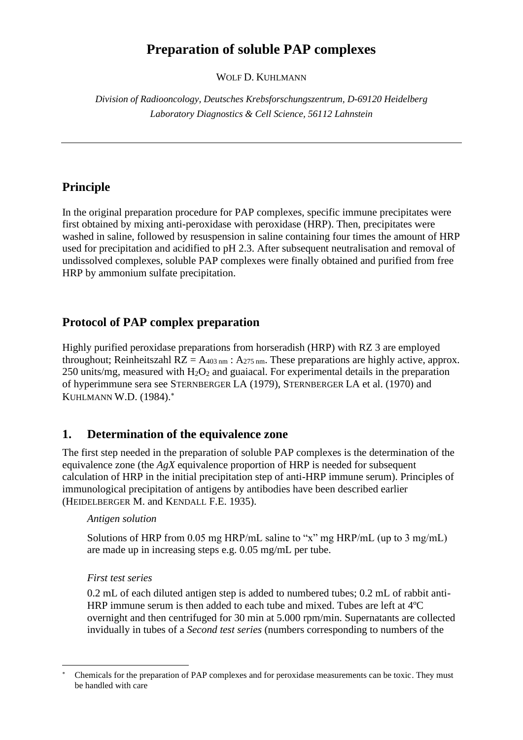# **Preparation of soluble PAP complexes**

WOLF D. KUHLMANN

*Division of Radiooncology, Deutsches Krebsforschungszentrum, D-69120 Heidelberg Laboratory Diagnostics & Cell Science, 56112 Lahnstein*

## **Principle**

In the original preparation procedure for PAP complexes, specific immune precipitates were first obtained by mixing anti-peroxidase with peroxidase (HRP). Then, precipitates were washed in saline, followed by resuspension in saline containing four times the amount of HRP used for precipitation and acidified to pH 2.3. After subsequent neutralisation and removal of undissolved complexes, soluble PAP complexes were finally obtained and purified from free HRP by ammonium sulfate precipitation.

## **Protocol of PAP complex preparation**

Highly purified peroxidase preparations from horseradish (HRP) with RZ 3 are employed throughout; Reinheitszahl  $RZ = A_{403 \text{ nm}}$ :  $A_{275 \text{ nm}}$ . These preparations are highly active, approx. 250 units/mg, measured with  $H_2O_2$  and guaiacal. For experimental details in the preparation of hyperimmune sera see STERNBERGER LA (1979), STERNBERGER LA et al. (1970) and KUHLMANN W.D. (1984).

### **1. Determination of the equivalence zone**

The first step needed in the preparation of soluble PAP complexes is the determination of the equivalence zone (the *AgX* equivalence proportion of HRP is needed for subsequent calculation of HRP in the initial precipitation step of anti-HRP immune serum). Principles of immunological precipitation of antigens by antibodies have been described earlier (HEIDELBERGER M. and KENDALL F.E. 1935).

#### *Antigen solution*

Solutions of HRP from 0.05 mg HRP/mL saline to "x" mg HRP/mL (up to 3 mg/mL) are made up in increasing steps e.g. 0.05 mg/mL per tube.

### *First test series*

0.2 mL of each diluted antigen step is added to numbered tubes; 0.2 mL of rabbit anti-HRP immune serum is then added to each tube and mixed. Tubes are left at 4ºC overnight and then centrifuged for 30 min at 5.000 rpm/min. Supernatants are collected invidually in tubes of a *Second test series* (numbers corresponding to numbers of the

Chemicals for the preparation of PAP complexes and for peroxidase measurements can be toxic. They must be handled with care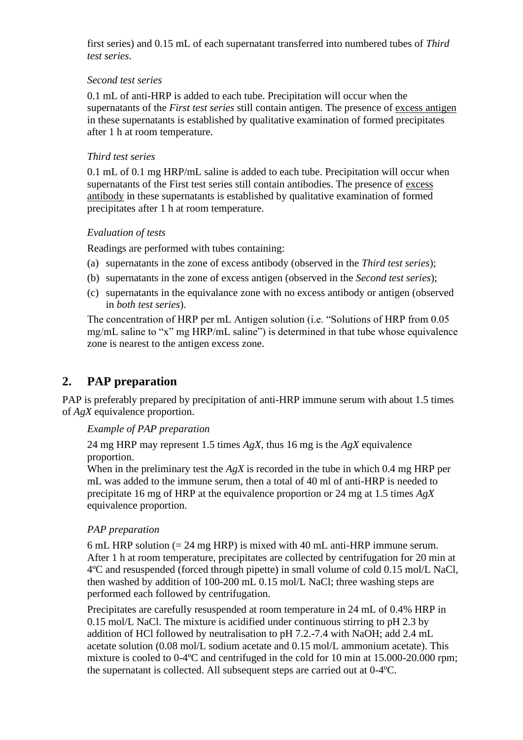first series) and 0.15 mL of each supernatant transferred into numbered tubes of *Third test series*.

#### *Second test series*

0.1 mL of anti-HRP is added to each tube. Precipitation will occur when the supernatants of the *First test series* still contain antigen. The presence of excess antigen in these supernatants is established by qualitative examination of formed precipitates after 1 h at room temperature.

#### *Third test series*

0.1 mL of 0.1 mg HRP/mL saline is added to each tube. Precipitation will occur when supernatants of the First test series still contain antibodies. The presence of excess antibody in these supernatants is established by qualitative examination of formed precipitates after 1 h at room temperature.

#### *Evaluation of tests*

Readings are performed with tubes containing:

- (a) supernatants in the zone of excess antibody (observed in the *Third test series*);
- (b) supernatants in the zone of excess antigen (observed in the *Second test series*);
- (c) supernatants in the equivalance zone with no excess antibody or antigen (observed in *both test series*).

The concentration of HRP per mL Antigen solution (i.e. "Solutions of HRP from 0.05 mg/mL saline to "x" mg HRP/mL saline") is determined in that tube whose equivalence zone is nearest to the antigen excess zone.

## **2. PAP preparation**

PAP is preferably prepared by precipitation of anti-HRP immune serum with about 1.5 times of *AgX* equivalence proportion.

#### *Example of PAP preparation*

24 mg HRP may represent 1.5 times *AgX*, thus 16 mg is the *AgX* equivalence proportion.

When in the preliminary test the *AgX* is recorded in the tube in which 0.4 mg HRP per mL was added to the immune serum, then a total of 40 ml of anti-HRP is needed to precipitate 16 mg of HRP at the equivalence proportion or 24 mg at 1.5 times *AgX*  equivalence proportion.

#### *PAP preparation*

6 mL HRP solution (= 24 mg HRP) is mixed with 40 mL anti-HRP immune serum. After 1 h at room temperature, precipitates are collected by centrifugation for 20 min at 4ºC and resuspended (forced through pipette) in small volume of cold 0.15 mol/L NaCl, then washed by addition of 100-200 mL 0.15 mol/L NaCl; three washing steps are performed each followed by centrifugation.

Precipitates are carefully resuspended at room temperature in 24 mL of 0.4% HRP in 0.15 mol/L NaCl. The mixture is acidified under continuous stirring to pH 2.3 by addition of HCl followed by neutralisation to pH 7.2.-7.4 with NaOH; add 2.4 mL acetate solution (0.08 mol/L sodium acetate and 0.15 mol/L ammonium acetate). This mixture is cooled to 0-4ºC and centrifuged in the cold for 10 min at 15.000-20.000 rpm; the supernatant is collected. All subsequent steps are carried out at 0-4ºC.